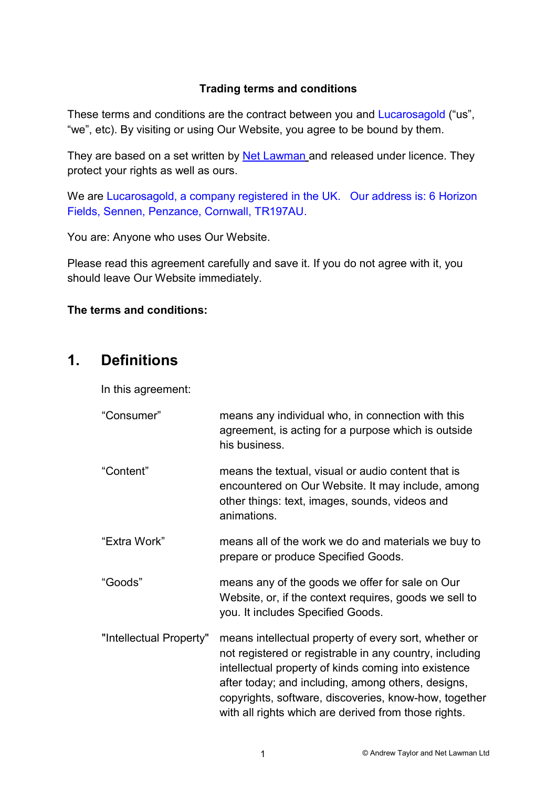#### Trading terms and conditions

These terms and conditions are the contract between you and Lucarosagold ("us", "we", etc). By visiting or using Our Website, you agree to be bound by them.

They are based on a set written by Net Lawman and released under licence. They protect your rights as well as ours.

We are Lucarosagold, a company registered in the UK. Our address is: 6 Horizon Fields, Sennen, Penzance, Cornwall, TR197AU.

You are: Anyone who uses Our Website.

Please read this agreement carefully and save it. If you do not agree with it, you should leave Our Website immediately.

#### The terms and conditions:

#### 1. Definitions

In this agreement:

| "Consumer"              | means any individual who, in connection with this<br>agreement, is acting for a purpose which is outside<br>his business.                                                                                                                                                                                                                       |
|-------------------------|-------------------------------------------------------------------------------------------------------------------------------------------------------------------------------------------------------------------------------------------------------------------------------------------------------------------------------------------------|
| "Content"               | means the textual, visual or audio content that is<br>encountered on Our Website. It may include, among<br>other things: text, images, sounds, videos and<br>animations.                                                                                                                                                                        |
| "Extra Work"            | means all of the work we do and materials we buy to<br>prepare or produce Specified Goods.                                                                                                                                                                                                                                                      |
| "Goods"                 | means any of the goods we offer for sale on Our<br>Website, or, if the context requires, goods we sell to<br>you. It includes Specified Goods.                                                                                                                                                                                                  |
| "Intellectual Property" | means intellectual property of every sort, whether or<br>not registered or registrable in any country, including<br>intellectual property of kinds coming into existence<br>after today; and including, among others, designs,<br>copyrights, software, discoveries, know-how, together<br>with all rights which are derived from those rights. |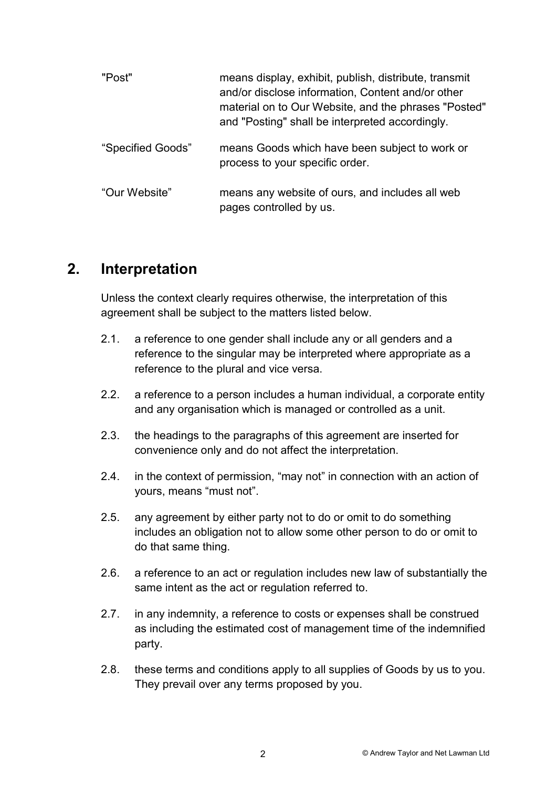| "Post"            | means display, exhibit, publish, distribute, transmit<br>and/or disclose information, Content and/or other<br>material on to Our Website, and the phrases "Posted"<br>and "Posting" shall be interpreted accordingly. |
|-------------------|-----------------------------------------------------------------------------------------------------------------------------------------------------------------------------------------------------------------------|
| "Specified Goods" | means Goods which have been subject to work or<br>process to your specific order.                                                                                                                                     |
| "Our Website"     | means any website of ours, and includes all web<br>pages controlled by us.                                                                                                                                            |

#### 2. Interpretation

Unless the context clearly requires otherwise, the interpretation of this agreement shall be subject to the matters listed below.

- 2.1. a reference to one gender shall include any or all genders and a reference to the singular may be interpreted where appropriate as a reference to the plural and vice versa.
- 2.2. a reference to a person includes a human individual, a corporate entity and any organisation which is managed or controlled as a unit.
- 2.3. the headings to the paragraphs of this agreement are inserted for convenience only and do not affect the interpretation.
- 2.4. in the context of permission, "may not" in connection with an action of yours, means "must not".
- 2.5. any agreement by either party not to do or omit to do something includes an obligation not to allow some other person to do or omit to do that same thing.
- 2.6. a reference to an act or regulation includes new law of substantially the same intent as the act or regulation referred to.
- 2.7. in any indemnity, a reference to costs or expenses shall be construed as including the estimated cost of management time of the indemnified party.
- 2.8. these terms and conditions apply to all supplies of Goods by us to you. They prevail over any terms proposed by you.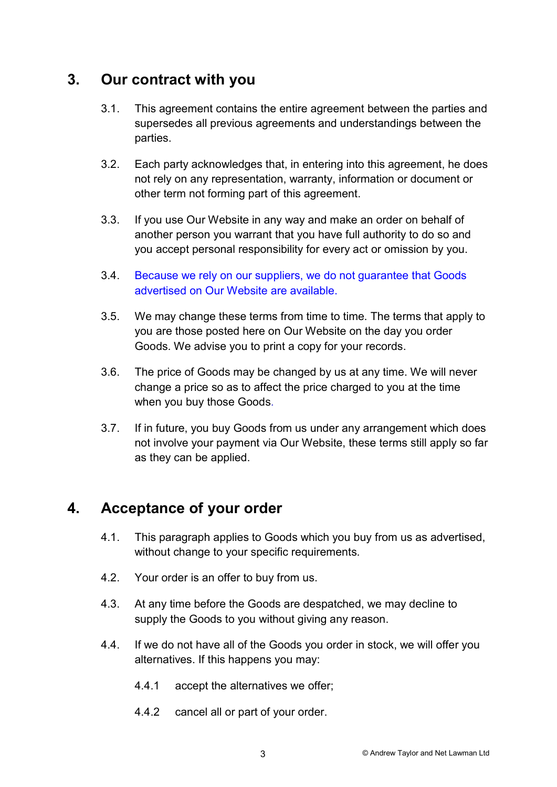## 3. Our contract with you

- 3.1. This agreement contains the entire agreement between the parties and supersedes all previous agreements and understandings between the parties.
- 3.2. Each party acknowledges that, in entering into this agreement, he does not rely on any representation, warranty, information or document or other term not forming part of this agreement.
- 3.3. If you use Our Website in any way and make an order on behalf of another person you warrant that you have full authority to do so and you accept personal responsibility for every act or omission by you.
- 3.4. Because we rely on our suppliers, we do not guarantee that Goods advertised on Our Website are available.
- 3.5. We may change these terms from time to time. The terms that apply to you are those posted here on Our Website on the day you order Goods. We advise you to print a copy for your records.
- 3.6. The price of Goods may be changed by us at any time. We will never change a price so as to affect the price charged to you at the time when you buy those Goods.
- 3.7. If in future, you buy Goods from us under any arrangement which does not involve your payment via Our Website, these terms still apply so far as they can be applied.

# 4. Acceptance of your order

- 4.1. This paragraph applies to Goods which you buy from us as advertised, without change to your specific requirements.
- 4.2. Your order is an offer to buy from us.
- 4.3. At any time before the Goods are despatched, we may decline to supply the Goods to you without giving any reason.
- 4.4. If we do not have all of the Goods you order in stock, we will offer you alternatives. If this happens you may:
	- 4.4.1 accept the alternatives we offer;
	- 4.4.2 cancel all or part of your order.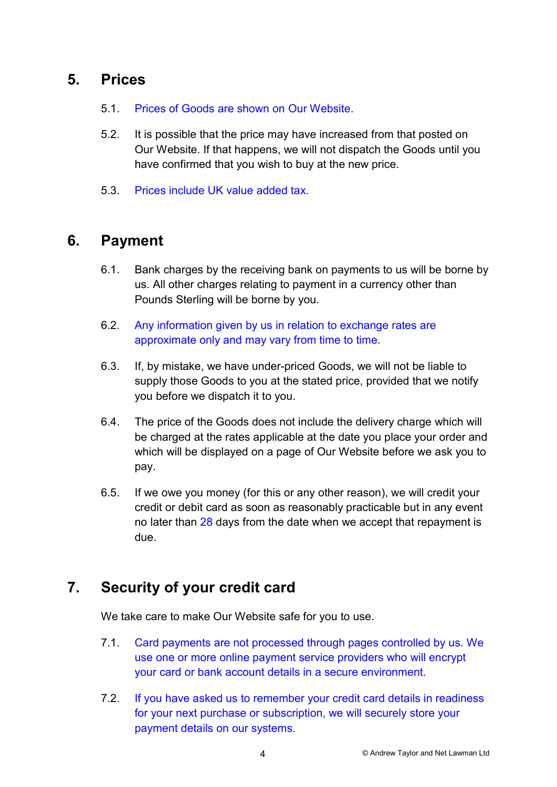## 5. Prices

- 5.1. Prices of Goods are shown on Our Website.
- 5.2. It is possible that the price may have increased from that posted on Our Website. If that happens, we will not dispatch the Goods until you have confirmed that you wish to buy at the new price.
- 5.3. Prices include UK value added tax.

### 6. Payment

- 6.1. Bank charges by the receiving bank on payments to us will be borne by us. All other charges relating to payment in a currency other than Pounds Sterling will be borne by you.
- 6.2. Any information given by us in relation to exchange rates are approximate only and may vary from time to time.
- 6.3. If, by mistake, we have under-priced Goods, we will not be liable to supply those Goods to you at the stated price, provided that we notify you before we dispatch it to you.
- 6.4. The price of the Goods does not include the delivery charge which will be charged at the rates applicable at the date you place your order and which will be displayed on a page of Our Website before we ask you to pay.
- 6.5. If we owe you money (for this or any other reason), we will credit your credit or debit card as soon as reasonably practicable but in any event no later than 28 days from the date when we accept that repayment is due.

# 7. Security of your credit card

We take care to make Our Website safe for you to use.

- 7.1. Card payments are not processed through pages controlled by us. We use one or more online payment service providers who will encrypt your card or bank account details in a secure environment.
- 7.2. If you have asked us to remember your credit card details in readiness for your next purchase or subscription, we will securely store your payment details on our systems.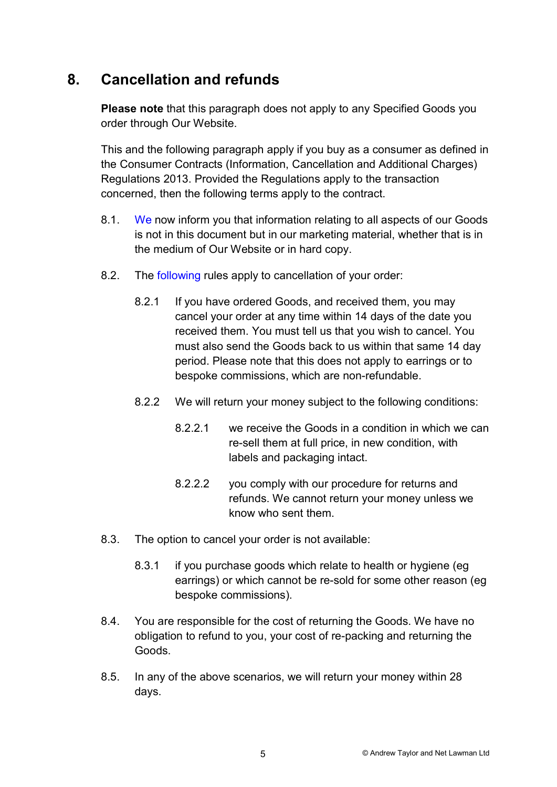# 8. Cancellation and refunds

Please note that this paragraph does not apply to any Specified Goods you order through Our Website.

This and the following paragraph apply if you buy as a consumer as defined in the Consumer Contracts (Information, Cancellation and Additional Charges) Regulations 2013. Provided the Regulations apply to the transaction concerned, then the following terms apply to the contract.

- 8.1. We now inform you that information relating to all aspects of our Goods is not in this document but in our marketing material, whether that is in the medium of Our Website or in hard copy.
- 8.2. The following rules apply to cancellation of your order:
	- 8.2.1 If you have ordered Goods, and received them, you may cancel your order at any time within 14 days of the date you received them. You must tell us that you wish to cancel. You must also send the Goods back to us within that same 14 day period. Please note that this does not apply to earrings or to bespoke commissions, which are non-refundable.
	- 8.2.2 We will return your money subject to the following conditions:
		- 8.2.2.1 we receive the Goods in a condition in which we can re-sell them at full price, in new condition, with labels and packaging intact.
		- 8.2.2.2 you comply with our procedure for returns and refunds. We cannot return your money unless we know who sent them.
- 8.3. The option to cancel your order is not available:
	- 8.3.1 if you purchase goods which relate to health or hygiene (eg earrings) or which cannot be re-sold for some other reason (eg bespoke commissions).
- 8.4. You are responsible for the cost of returning the Goods. We have no obligation to refund to you, your cost of re-packing and returning the Goods.
- 8.5. In any of the above scenarios, we will return your money within 28 days.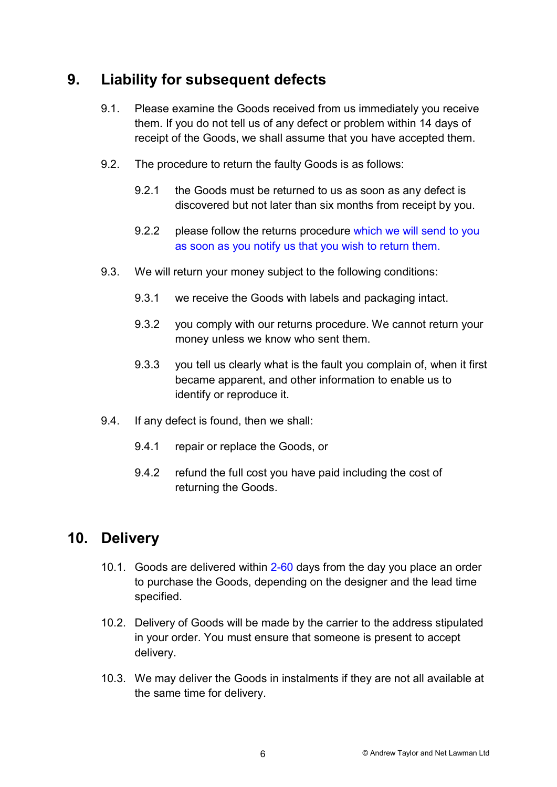# 9. Liability for subsequent defects

- 9.1. Please examine the Goods received from us immediately you receive them. If you do not tell us of any defect or problem within 14 days of receipt of the Goods, we shall assume that you have accepted them.
- 9.2. The procedure to return the faulty Goods is as follows:
	- 9.2.1 the Goods must be returned to us as soon as any defect is discovered but not later than six months from receipt by you.
	- 9.2.2 please follow the returns procedure which we will send to you as soon as you notify us that you wish to return them.
- 9.3. We will return your money subject to the following conditions:
	- 9.3.1 we receive the Goods with labels and packaging intact.
	- 9.3.2 you comply with our returns procedure. We cannot return your money unless we know who sent them.
	- 9.3.3 you tell us clearly what is the fault you complain of, when it first became apparent, and other information to enable us to identify or reproduce it.
- 9.4. If any defect is found, then we shall:
	- 9.4.1 repair or replace the Goods, or
	- 9.4.2 refund the full cost you have paid including the cost of returning the Goods.

## 10. Delivery

- 10.1. Goods are delivered within 2-60 days from the day you place an order to purchase the Goods, depending on the designer and the lead time specified.
- 10.2. Delivery of Goods will be made by the carrier to the address stipulated in your order. You must ensure that someone is present to accept delivery.
- 10.3. We may deliver the Goods in instalments if they are not all available at the same time for delivery.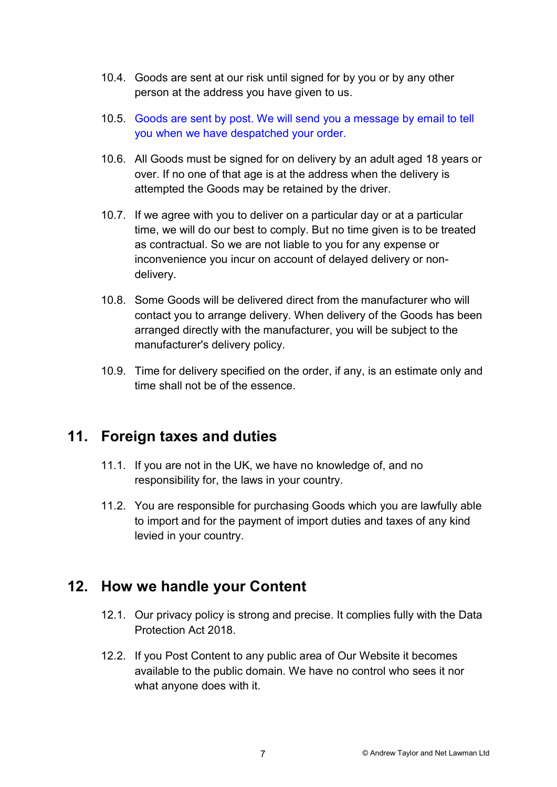- 10.4. Goods are sent at our risk until signed for by you or by any other person at the address you have given to us.
- 10.5. Goods are sent by post. We will send you a message by email to tell you when we have despatched your order.
- 10.6. All Goods must be signed for on delivery by an adult aged 18 years or over. If no one of that age is at the address when the delivery is attempted the Goods may be retained by the driver.
- 10.7. If we agree with you to deliver on a particular day or at a particular time, we will do our best to comply. But no time given is to be treated as contractual. So we are not liable to you for any expense or inconvenience you incur on account of delayed delivery or nondelivery.
- 10.8. Some Goods will be delivered direct from the manufacturer who will contact you to arrange delivery. When delivery of the Goods has been arranged directly with the manufacturer, you will be subject to the manufacturer's delivery policy.
- 10.9. Time for delivery specified on the order, if any, is an estimate only and time shall not be of the essence.

## 11. Foreign taxes and duties

- 11.1. If you are not in the UK, we have no knowledge of, and no responsibility for, the laws in your country.
- 11.2. You are responsible for purchasing Goods which you are lawfully able to import and for the payment of import duties and taxes of any kind levied in your country.

## 12. How we handle your Content

- 12.1. Our privacy policy is strong and precise. It complies fully with the Data Protection Act 2018.
- 12.2. If you Post Content to any public area of Our Website it becomes available to the public domain. We have no control who sees it nor what anyone does with it.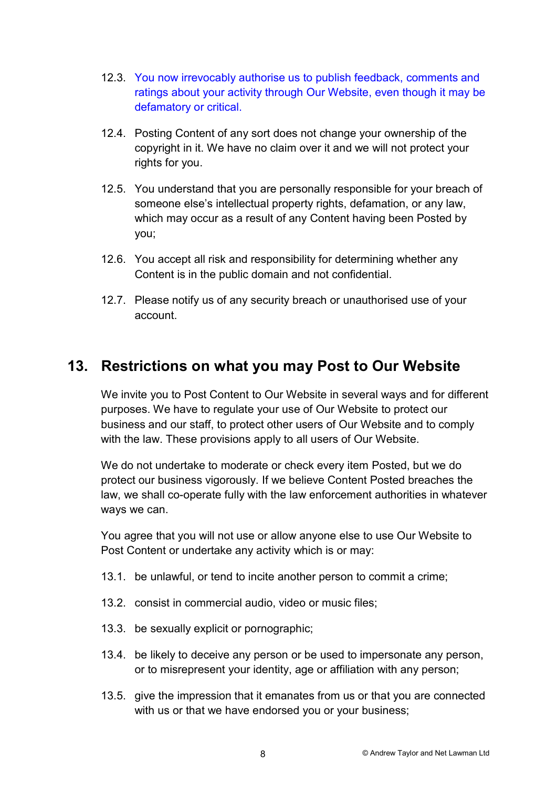- 12.3. You now irrevocably authorise us to publish feedback, comments and ratings about your activity through Our Website, even though it may be defamatory or critical.
- 12.4. Posting Content of any sort does not change your ownership of the copyright in it. We have no claim over it and we will not protect your rights for you.
- 12.5. You understand that you are personally responsible for your breach of someone else's intellectual property rights, defamation, or any law, which may occur as a result of any Content having been Posted by you;
- 12.6. You accept all risk and responsibility for determining whether any Content is in the public domain and not confidential.
- 12.7. Please notify us of any security breach or unauthorised use of your account.

## 13. Restrictions on what you may Post to Our Website

We invite you to Post Content to Our Website in several ways and for different purposes. We have to regulate your use of Our Website to protect our business and our staff, to protect other users of Our Website and to comply with the law. These provisions apply to all users of Our Website.

We do not undertake to moderate or check every item Posted, but we do protect our business vigorously. If we believe Content Posted breaches the law, we shall co-operate fully with the law enforcement authorities in whatever ways we can.

You agree that you will not use or allow anyone else to use Our Website to Post Content or undertake any activity which is or may:

- 13.1. be unlawful, or tend to incite another person to commit a crime;
- 13.2. consist in commercial audio, video or music files;
- 13.3. be sexually explicit or pornographic;
- 13.4. be likely to deceive any person or be used to impersonate any person, or to misrepresent your identity, age or affiliation with any person;
- 13.5. give the impression that it emanates from us or that you are connected with us or that we have endorsed you or your business;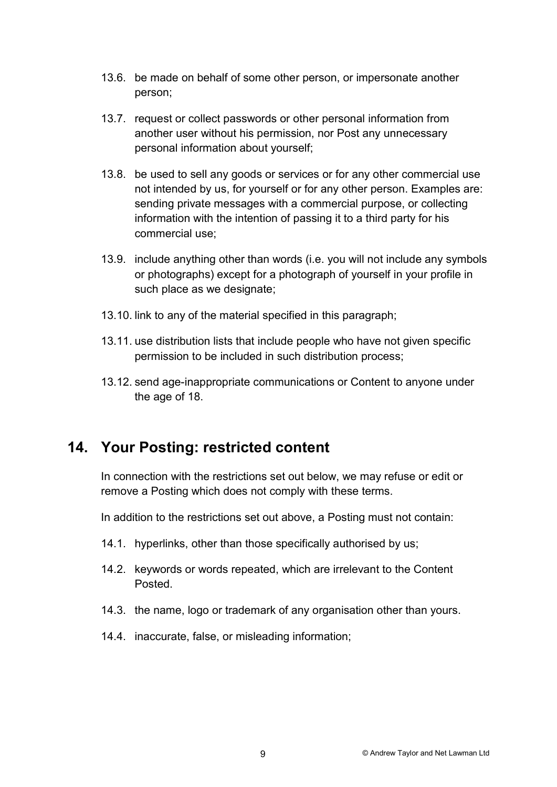- 13.6. be made on behalf of some other person, or impersonate another person;
- 13.7. request or collect passwords or other personal information from another user without his permission, nor Post any unnecessary personal information about yourself;
- 13.8. be used to sell any goods or services or for any other commercial use not intended by us, for yourself or for any other person. Examples are: sending private messages with a commercial purpose, or collecting information with the intention of passing it to a third party for his commercial use;
- 13.9. include anything other than words (i.e. you will not include any symbols or photographs) except for a photograph of yourself in your profile in such place as we designate;
- 13.10. link to any of the material specified in this paragraph;
- 13.11. use distribution lists that include people who have not given specific permission to be included in such distribution process;
- 13.12. send age-inappropriate communications or Content to anyone under the age of 18.

# 14. Your Posting: restricted content

In connection with the restrictions set out below, we may refuse or edit or remove a Posting which does not comply with these terms.

In addition to the restrictions set out above, a Posting must not contain:

- 14.1. hyperlinks, other than those specifically authorised by us;
- 14.2. keywords or words repeated, which are irrelevant to the Content Posted.
- 14.3. the name, logo or trademark of any organisation other than yours.
- 14.4. inaccurate, false, or misleading information;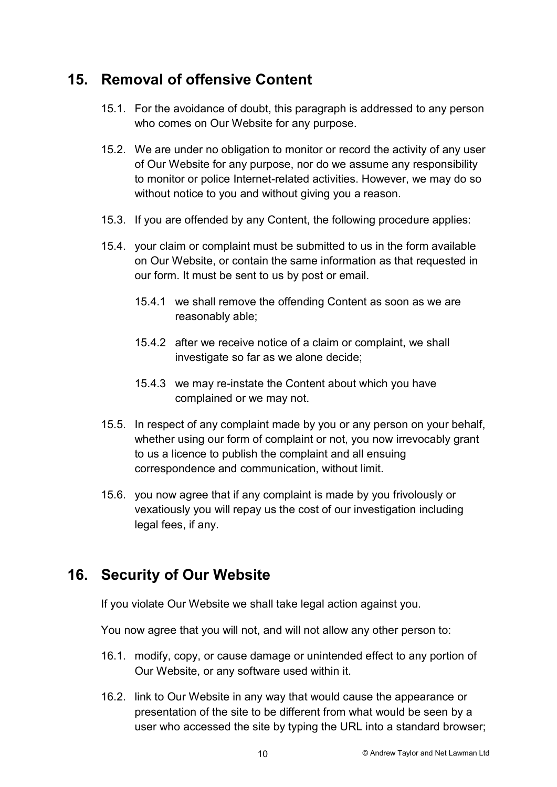## 15. Removal of offensive Content

- 15.1. For the avoidance of doubt, this paragraph is addressed to any person who comes on Our Website for any purpose.
- 15.2. We are under no obligation to monitor or record the activity of any user of Our Website for any purpose, nor do we assume any responsibility to monitor or police Internet-related activities. However, we may do so without notice to you and without giving you a reason.
- 15.3. If you are offended by any Content, the following procedure applies:
- 15.4. your claim or complaint must be submitted to us in the form available on Our Website, or contain the same information as that requested in our form. It must be sent to us by post or email.
	- 15.4.1 we shall remove the offending Content as soon as we are reasonably able;
	- 15.4.2 after we receive notice of a claim or complaint, we shall investigate so far as we alone decide;
	- 15.4.3 we may re-instate the Content about which you have complained or we may not.
- 15.5. In respect of any complaint made by you or any person on your behalf, whether using our form of complaint or not, you now irrevocably grant to us a licence to publish the complaint and all ensuing correspondence and communication, without limit.
- 15.6. you now agree that if any complaint is made by you frivolously or vexatiously you will repay us the cost of our investigation including legal fees, if any.

# 16. Security of Our Website

If you violate Our Website we shall take legal action against you.

You now agree that you will not, and will not allow any other person to:

- 16.1. modify, copy, or cause damage or unintended effect to any portion of Our Website, or any software used within it.
- 16.2. link to Our Website in any way that would cause the appearance or presentation of the site to be different from what would be seen by a user who accessed the site by typing the URL into a standard browser;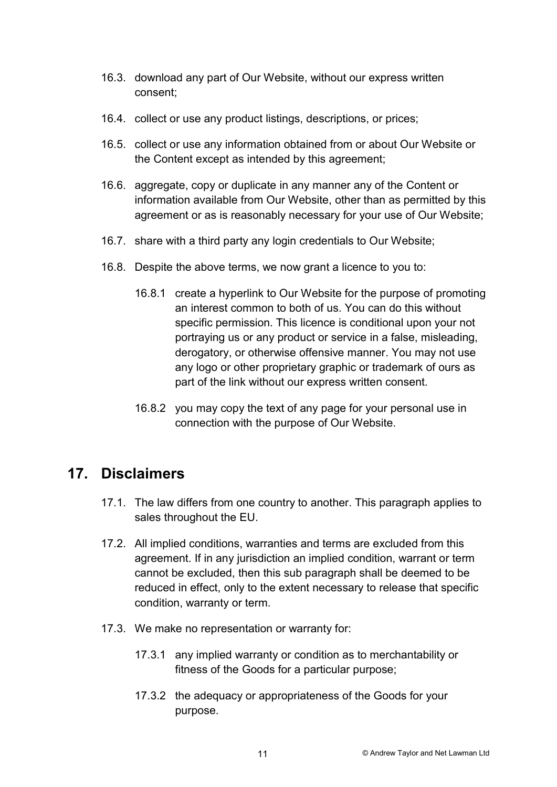- 16.3. download any part of Our Website, without our express written consent;
- 16.4. collect or use any product listings, descriptions, or prices;
- 16.5. collect or use any information obtained from or about Our Website or the Content except as intended by this agreement;
- 16.6. aggregate, copy or duplicate in any manner any of the Content or information available from Our Website, other than as permitted by this agreement or as is reasonably necessary for your use of Our Website;
- 16.7. share with a third party any login credentials to Our Website;
- 16.8. Despite the above terms, we now grant a licence to you to:
	- 16.8.1 create a hyperlink to Our Website for the purpose of promoting an interest common to both of us. You can do this without specific permission. This licence is conditional upon your not portraying us or any product or service in a false, misleading, derogatory, or otherwise offensive manner. You may not use any logo or other proprietary graphic or trademark of ours as part of the link without our express written consent.
	- 16.8.2 you may copy the text of any page for your personal use in connection with the purpose of Our Website.

#### 17. Disclaimers

- 17.1. The law differs from one country to another. This paragraph applies to sales throughout the EU.
- 17.2. All implied conditions, warranties and terms are excluded from this agreement. If in any jurisdiction an implied condition, warrant or term cannot be excluded, then this sub paragraph shall be deemed to be reduced in effect, only to the extent necessary to release that specific condition, warranty or term.
- 17.3. We make no representation or warranty for:
	- 17.3.1 any implied warranty or condition as to merchantability or fitness of the Goods for a particular purpose;
	- 17.3.2 the adequacy or appropriateness of the Goods for your purpose.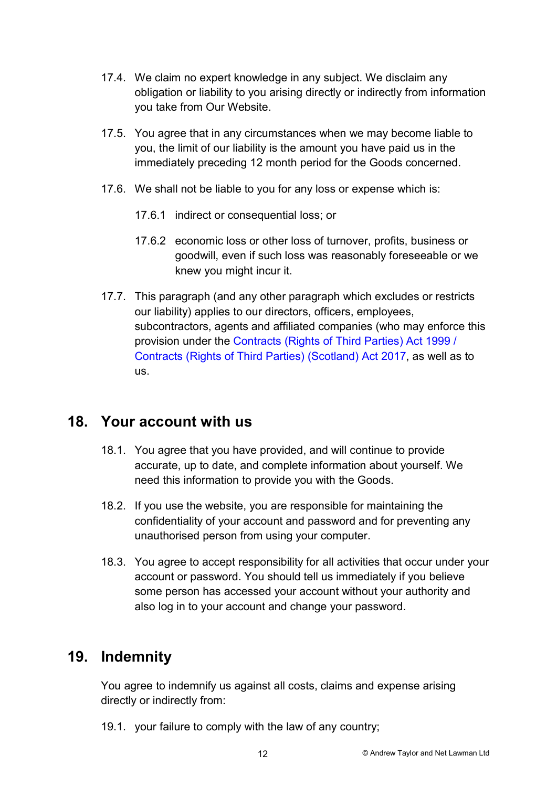- 17.4. We claim no expert knowledge in any subject. We disclaim any obligation or liability to you arising directly or indirectly from information you take from Our Website.
- 17.5. You agree that in any circumstances when we may become liable to you, the limit of our liability is the amount you have paid us in the immediately preceding 12 month period for the Goods concerned.
- 17.6. We shall not be liable to you for any loss or expense which is:
	- 17.6.1 indirect or consequential loss; or
	- 17.6.2 economic loss or other loss of turnover, profits, business or goodwill, even if such loss was reasonably foreseeable or we knew you might incur it.
- 17.7. This paragraph (and any other paragraph which excludes or restricts our liability) applies to our directors, officers, employees, subcontractors, agents and affiliated companies (who may enforce this provision under the Contracts (Rights of Third Parties) Act 1999 / Contracts (Rights of Third Parties) (Scotland) Act 2017, as well as to us.

# 18. Your account with us

- 18.1. You agree that you have provided, and will continue to provide accurate, up to date, and complete information about yourself. We need this information to provide you with the Goods.
- 18.2. If you use the website, you are responsible for maintaining the confidentiality of your account and password and for preventing any unauthorised person from using your computer.
- 18.3. You agree to accept responsibility for all activities that occur under your account or password. You should tell us immediately if you believe some person has accessed your account without your authority and also log in to your account and change your password.

# 19. Indemnity

You agree to indemnify us against all costs, claims and expense arising directly or indirectly from:

19.1. your failure to comply with the law of any country;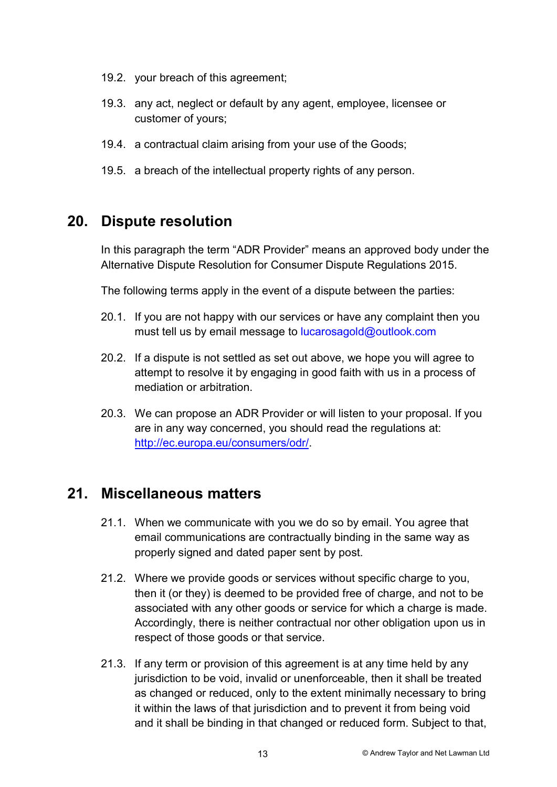- 19.2. your breach of this agreement;
- 19.3. any act, neglect or default by any agent, employee, licensee or customer of yours;
- 19.4. a contractual claim arising from your use of the Goods;
- 19.5. a breach of the intellectual property rights of any person.

## 20. Dispute resolution

In this paragraph the term "ADR Provider" means an approved body under the Alternative Dispute Resolution for Consumer Dispute Regulations 2015.

The following terms apply in the event of a dispute between the parties:

- 20.1. If you are not happy with our services or have any complaint then you must tell us by email message to lucarosagold@outlook.com
- 20.2. If a dispute is not settled as set out above, we hope you will agree to attempt to resolve it by engaging in good faith with us in a process of mediation or arbitration.
- 20.3. We can propose an ADR Provider or will listen to your proposal. If you are in any way concerned, you should read the regulations at: http://ec.europa.eu/consumers/odr/.

#### 21. Miscellaneous matters

- 21.1. When we communicate with you we do so by email. You agree that email communications are contractually binding in the same way as properly signed and dated paper sent by post.
- 21.2. Where we provide goods or services without specific charge to you, then it (or they) is deemed to be provided free of charge, and not to be associated with any other goods or service for which a charge is made. Accordingly, there is neither contractual nor other obligation upon us in respect of those goods or that service.
- 21.3. If any term or provision of this agreement is at any time held by any jurisdiction to be void, invalid or unenforceable, then it shall be treated as changed or reduced, only to the extent minimally necessary to bring it within the laws of that jurisdiction and to prevent it from being void and it shall be binding in that changed or reduced form. Subject to that,